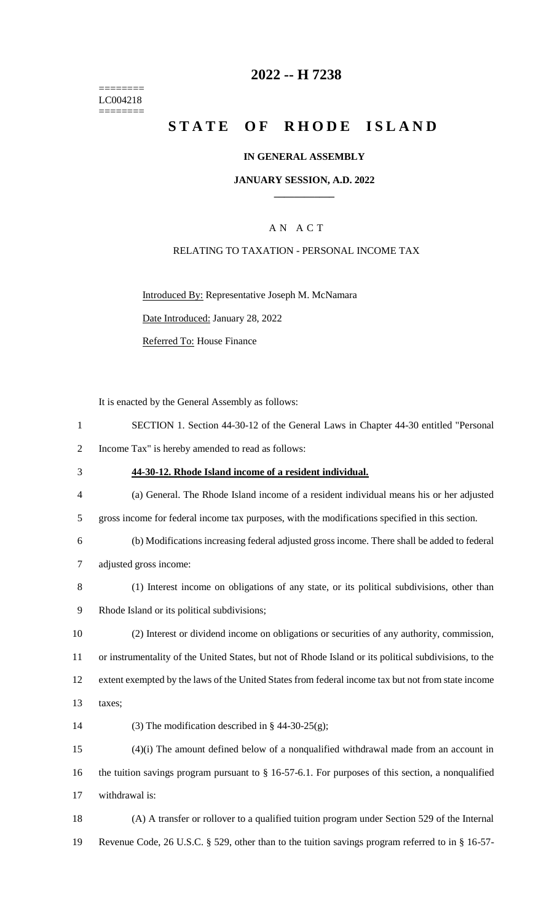======== LC004218  $=$ 

## **2022 -- H 7238**

# **STATE OF RHODE ISLAND**

## **IN GENERAL ASSEMBLY**

#### **JANUARY SESSION, A.D. 2022 \_\_\_\_\_\_\_\_\_\_\_\_**

## A N A C T

## RELATING TO TAXATION - PERSONAL INCOME TAX

Introduced By: Representative Joseph M. McNamara

Date Introduced: January 28, 2022

Referred To: House Finance

It is enacted by the General Assembly as follows:

| $\mathbf{1}$   | SECTION 1. Section 44-30-12 of the General Laws in Chapter 44-30 entitled "Personal                    |
|----------------|--------------------------------------------------------------------------------------------------------|
| $\overline{2}$ | Income Tax" is hereby amended to read as follows:                                                      |
| 3              | 44-30-12. Rhode Island income of a resident individual.                                                |
| $\overline{4}$ | (a) General. The Rhode Island income of a resident individual means his or her adjusted                |
| 5              | gross income for federal income tax purposes, with the modifications specified in this section.        |
| 6              | (b) Modifications increasing federal adjusted gross income. There shall be added to federal            |
| $\tau$         | adjusted gross income:                                                                                 |
| 8              | (1) Interest income on obligations of any state, or its political subdivisions, other than             |
| 9              | Rhode Island or its political subdivisions;                                                            |
| 10             | (2) Interest or dividend income on obligations or securities of any authority, commission,             |
| 11             | or instrumentality of the United States, but not of Rhode Island or its political subdivisions, to the |
| 12             | extent exempted by the laws of the United States from federal income tax but not from state income     |
| 13             | taxes;                                                                                                 |
| 14             | (3) The modification described in § 44-30-25(g);                                                       |
| 15             | $(4)(i)$ The amount defined below of a nonqualified withdrawal made from an account in                 |
| 16             | the tuition savings program pursuant to $\S$ 16-57-6.1. For purposes of this section, a nonqualified   |
| 17             | withdrawal is:                                                                                         |
| 18             | (A) A transfer or rollover to a qualified tuition program under Section 529 of the Internal            |

19 Revenue Code, 26 U.S.C. § 529, other than to the tuition savings program referred to in § 16-57-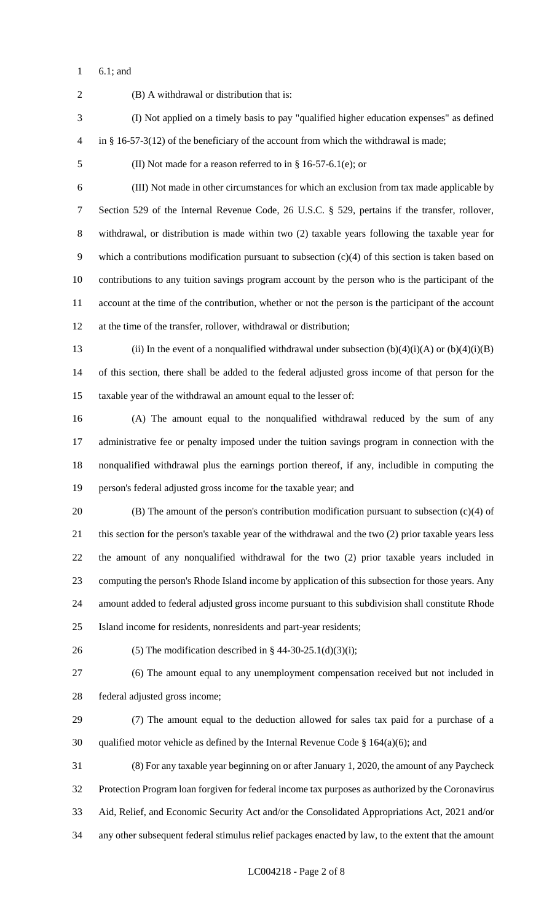6.1; and

 (B) A withdrawal or distribution that is: (I) Not applied on a timely basis to pay "qualified higher education expenses" as defined in § 16-57-3(12) of the beneficiary of the account from which the withdrawal is made; (II) Not made for a reason referred to in § 16-57-6.1(e); or (III) Not made in other circumstances for which an exclusion from tax made applicable by Section 529 of the Internal Revenue Code, 26 U.S.C. § 529, pertains if the transfer, rollover, withdrawal, or distribution is made within two (2) taxable years following the taxable year for which a contributions modification pursuant to subsection (c)(4) of this section is taken based on contributions to any tuition savings program account by the person who is the participant of the account at the time of the contribution, whether or not the person is the participant of the account at the time of the transfer, rollover, withdrawal or distribution; 13 (ii) In the event of a nonqualified withdrawal under subsection  $(b)(4)(i)(A)$  or  $(b)(4)(i)(B)$  of this section, there shall be added to the federal adjusted gross income of that person for the taxable year of the withdrawal an amount equal to the lesser of: (A) The amount equal to the nonqualified withdrawal reduced by the sum of any administrative fee or penalty imposed under the tuition savings program in connection with the nonqualified withdrawal plus the earnings portion thereof, if any, includible in computing the person's federal adjusted gross income for the taxable year; and (B) The amount of the person's contribution modification pursuant to subsection (c)(4) of this section for the person's taxable year of the withdrawal and the two (2) prior taxable years less the amount of any nonqualified withdrawal for the two (2) prior taxable years included in computing the person's Rhode Island income by application of this subsection for those years. Any amount added to federal adjusted gross income pursuant to this subdivision shall constitute Rhode Island income for residents, nonresidents and part-year residents; 26 (5) The modification described in § 44-30-25.1(d)(3)(i); (6) The amount equal to any unemployment compensation received but not included in federal adjusted gross income; (7) The amount equal to the deduction allowed for sales tax paid for a purchase of a 30 qualified motor vehicle as defined by the Internal Revenue Code  $\S$  164(a)(6); and (8) For any taxable year beginning on or after January 1, 2020, the amount of any Paycheck Protection Program loan forgiven for federal income tax purposes as authorized by the Coronavirus Aid, Relief, and Economic Security Act and/or the Consolidated Appropriations Act, 2021 and/or any other subsequent federal stimulus relief packages enacted by law, to the extent that the amount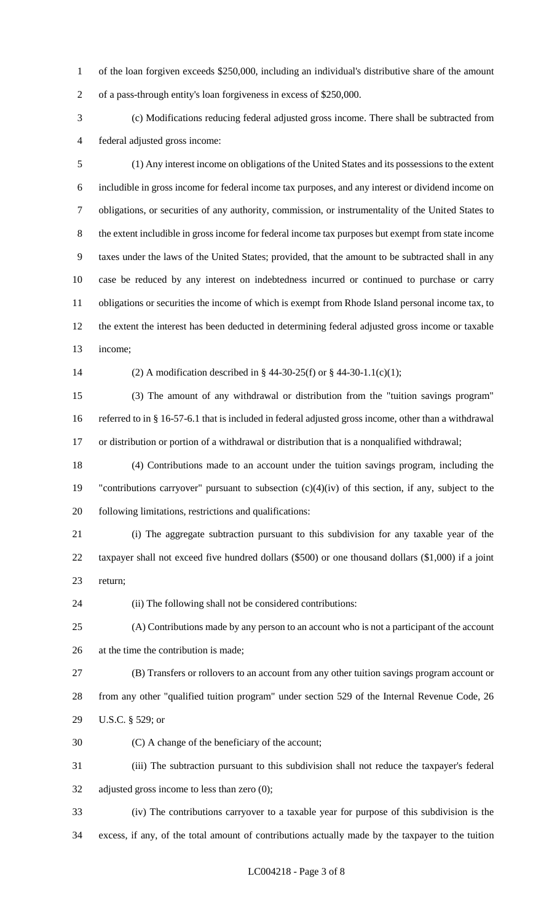of the loan forgiven exceeds \$250,000, including an individual's distributive share of the amount of a pass-through entity's loan forgiveness in excess of \$250,000.

 (c) Modifications reducing federal adjusted gross income. There shall be subtracted from federal adjusted gross income:

 (1) Any interest income on obligations of the United States and its possessions to the extent includible in gross income for federal income tax purposes, and any interest or dividend income on obligations, or securities of any authority, commission, or instrumentality of the United States to the extent includible in gross income for federal income tax purposes but exempt from state income taxes under the laws of the United States; provided, that the amount to be subtracted shall in any case be reduced by any interest on indebtedness incurred or continued to purchase or carry obligations or securities the income of which is exempt from Rhode Island personal income tax, to the extent the interest has been deducted in determining federal adjusted gross income or taxable income;

(2) A modification described in § 44-30-25(f) or § 44-30-1.1(c)(1);

 (3) The amount of any withdrawal or distribution from the "tuition savings program" referred to in § 16-57-6.1 that is included in federal adjusted gross income, other than a withdrawal or distribution or portion of a withdrawal or distribution that is a nonqualified withdrawal;

 (4) Contributions made to an account under the tuition savings program, including the "contributions carryover" pursuant to subsection (c)(4)(iv) of this section, if any, subject to the following limitations, restrictions and qualifications:

 (i) The aggregate subtraction pursuant to this subdivision for any taxable year of the taxpayer shall not exceed five hundred dollars (\$500) or one thousand dollars (\$1,000) if a joint return;

(ii) The following shall not be considered contributions:

 (A) Contributions made by any person to an account who is not a participant of the account at the time the contribution is made;

 (B) Transfers or rollovers to an account from any other tuition savings program account or from any other "qualified tuition program" under section 529 of the Internal Revenue Code, 26 U.S.C. § 529; or

(C) A change of the beneficiary of the account;

 (iii) The subtraction pursuant to this subdivision shall not reduce the taxpayer's federal adjusted gross income to less than zero (0);

 (iv) The contributions carryover to a taxable year for purpose of this subdivision is the excess, if any, of the total amount of contributions actually made by the taxpayer to the tuition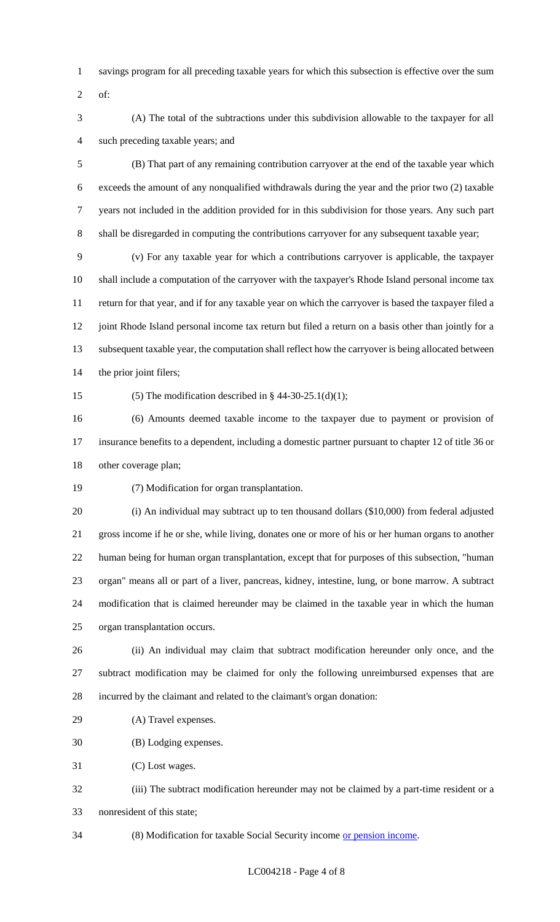- savings program for all preceding taxable years for which this subsection is effective over the sum
- of:
- (A) The total of the subtractions under this subdivision allowable to the taxpayer for all such preceding taxable years; and

 (B) That part of any remaining contribution carryover at the end of the taxable year which exceeds the amount of any nonqualified withdrawals during the year and the prior two (2) taxable years not included in the addition provided for in this subdivision for those years. Any such part shall be disregarded in computing the contributions carryover for any subsequent taxable year;

 (v) For any taxable year for which a contributions carryover is applicable, the taxpayer shall include a computation of the carryover with the taxpayer's Rhode Island personal income tax return for that year, and if for any taxable year on which the carryover is based the taxpayer filed a 12 joint Rhode Island personal income tax return but filed a return on a basis other than jointly for a subsequent taxable year, the computation shall reflect how the carryover is being allocated between the prior joint filers;

15 (5) The modification described in  $\S$  44-30-25.1(d)(1);

 (6) Amounts deemed taxable income to the taxpayer due to payment or provision of insurance benefits to a dependent, including a domestic partner pursuant to chapter 12 of title 36 or other coverage plan;

(7) Modification for organ transplantation.

 (i) An individual may subtract up to ten thousand dollars (\$10,000) from federal adjusted gross income if he or she, while living, donates one or more of his or her human organs to another human being for human organ transplantation, except that for purposes of this subsection, "human organ" means all or part of a liver, pancreas, kidney, intestine, lung, or bone marrow. A subtract modification that is claimed hereunder may be claimed in the taxable year in which the human organ transplantation occurs.

 (ii) An individual may claim that subtract modification hereunder only once, and the subtract modification may be claimed for only the following unreimbursed expenses that are incurred by the claimant and related to the claimant's organ donation:

(A) Travel expenses.

(B) Lodging expenses.

(C) Lost wages.

- (iii) The subtract modification hereunder may not be claimed by a part-time resident or a nonresident of this state;
- 34 (8) Modification for taxable Social Security income or pension income.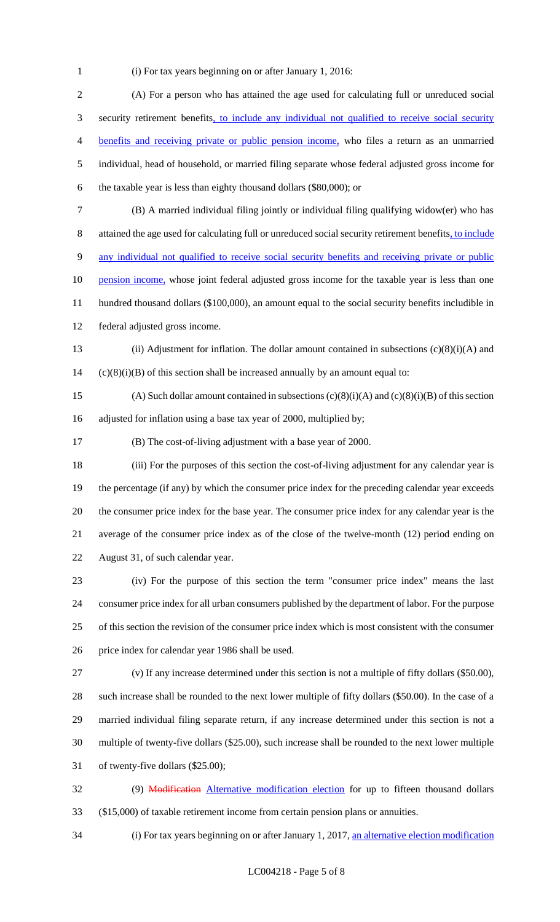(i) For tax years beginning on or after January 1, 2016:

 (A) For a person who has attained the age used for calculating full or unreduced social 3 security retirement benefits, to include any individual not qualified to receive social security benefits and receiving private or public pension income, who files a return as an unmarried individual, head of household, or married filing separate whose federal adjusted gross income for the taxable year is less than eighty thousand dollars (\$80,000); or (B) A married individual filing jointly or individual filing qualifying widow(er) who has attained the age used for calculating full or unreduced social security retirement benefits, to include any individual not qualified to receive social security benefits and receiving private or public 10 pension income, whose joint federal adjusted gross income for the taxable year is less than one hundred thousand dollars (\$100,000), an amount equal to the social security benefits includible in federal adjusted gross income. (ii) Adjustment for inflation. The dollar amount contained in subsections (c)(8)(i)(A) and (c)(8)(i)(B) of this section shall be increased annually by an amount equal to: 15 (A) Such dollar amount contained in subsections  $(c)(8)(i)(A)$  and  $(c)(8)(i)(B)$  of this section adjusted for inflation using a base tax year of 2000, multiplied by; (B) The cost-of-living adjustment with a base year of 2000. (iii) For the purposes of this section the cost-of-living adjustment for any calendar year is the percentage (if any) by which the consumer price index for the preceding calendar year exceeds the consumer price index for the base year. The consumer price index for any calendar year is the average of the consumer price index as of the close of the twelve-month (12) period ending on August 31, of such calendar year. (iv) For the purpose of this section the term "consumer price index" means the last consumer price index for all urban consumers published by the department of labor. For the purpose of this section the revision of the consumer price index which is most consistent with the consumer price index for calendar year 1986 shall be used. (v) If any increase determined under this section is not a multiple of fifty dollars (\$50.00), such increase shall be rounded to the next lower multiple of fifty dollars (\$50.00). In the case of a married individual filing separate return, if any increase determined under this section is not a multiple of twenty-five dollars (\$25.00), such increase shall be rounded to the next lower multiple of twenty-five dollars (\$25.00); 32 (9) Modification Alternative modification election for up to fifteen thousand dollars

(\$15,000) of taxable retirement income from certain pension plans or annuities.

34 (i) For tax years beginning on or after January 1, 2017, an alternative election modification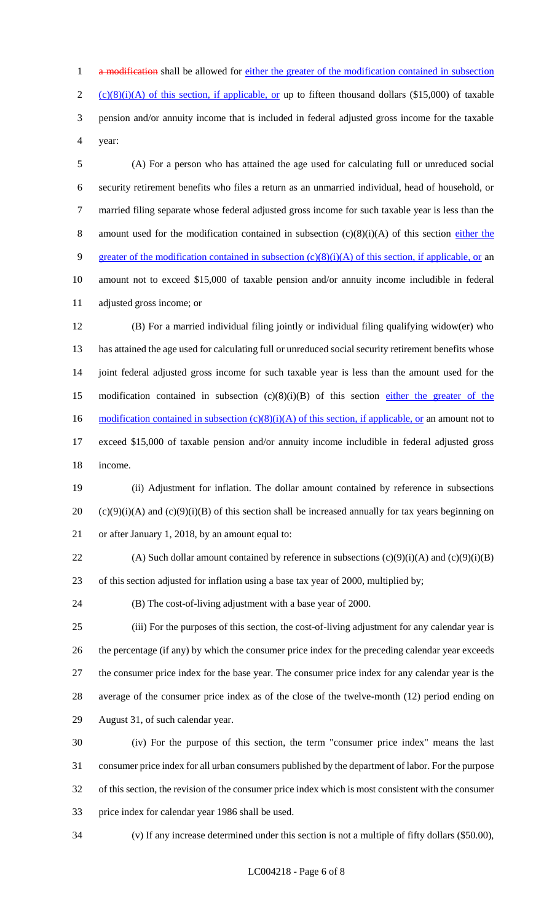1 a modification shall be allowed for either the greater of the modification contained in subsection 2 (c)(8)(i)(A) of this section, if applicable, or up to fifteen thousand dollars (\$15,000) of taxable pension and/or annuity income that is included in federal adjusted gross income for the taxable year:

 (A) For a person who has attained the age used for calculating full or unreduced social security retirement benefits who files a return as an unmarried individual, head of household, or married filing separate whose federal adjusted gross income for such taxable year is less than the 8 amount used for the modification contained in subsection  $(c)(8)(i)(A)$  of this section either the 9 greater of the modification contained in subsection (c)(8)(i)(A) of this section, if applicable, or an amount not to exceed \$15,000 of taxable pension and/or annuity income includible in federal adjusted gross income; or

 (B) For a married individual filing jointly or individual filing qualifying widow(er) who has attained the age used for calculating full or unreduced social security retirement benefits whose joint federal adjusted gross income for such taxable year is less than the amount used for the 15 modification contained in subsection  $(c)(8)(i)(B)$  of this section either the greater of the 16 modification contained in subsection  $(c)(8)(i)(A)$  of this section, if applicable, or an amount not to exceed \$15,000 of taxable pension and/or annuity income includible in federal adjusted gross income.

 (ii) Adjustment for inflation. The dollar amount contained by reference in subsections 20 (c)(9)(i)(A) and (c)(9)(i)(B) of this section shall be increased annually for tax years beginning on or after January 1, 2018, by an amount equal to:

22 (A) Such dollar amount contained by reference in subsections  $(c)(9)(i)(A)$  and  $(c)(9)(i)(B)$ of this section adjusted for inflation using a base tax year of 2000, multiplied by;

(B) The cost-of-living adjustment with a base year of 2000.

 (iii) For the purposes of this section, the cost-of-living adjustment for any calendar year is the percentage (if any) by which the consumer price index for the preceding calendar year exceeds the consumer price index for the base year. The consumer price index for any calendar year is the average of the consumer price index as of the close of the twelve-month (12) period ending on August 31, of such calendar year.

 (iv) For the purpose of this section, the term "consumer price index" means the last consumer price index for all urban consumers published by the department of labor. For the purpose of this section, the revision of the consumer price index which is most consistent with the consumer price index for calendar year 1986 shall be used.

(v) If any increase determined under this section is not a multiple of fifty dollars (\$50.00),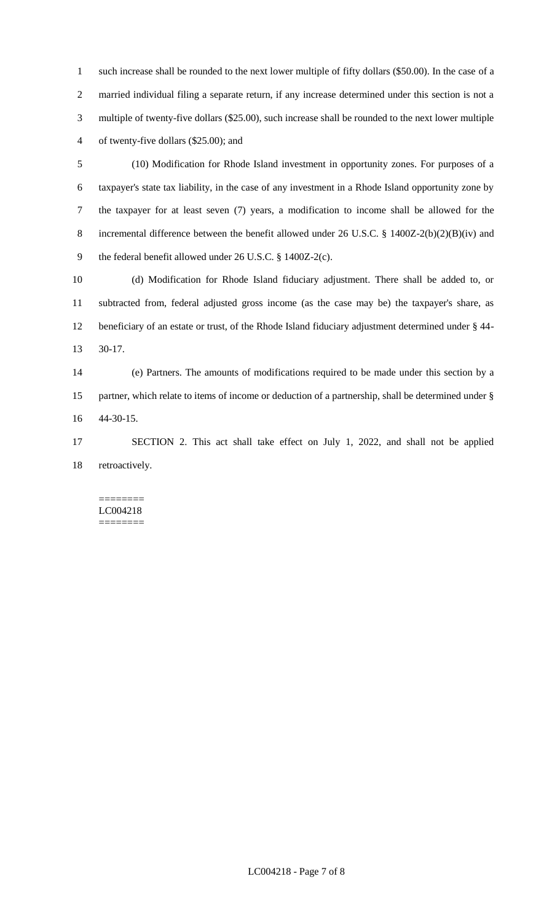such increase shall be rounded to the next lower multiple of fifty dollars (\$50.00). In the case of a married individual filing a separate return, if any increase determined under this section is not a multiple of twenty-five dollars (\$25.00), such increase shall be rounded to the next lower multiple of twenty-five dollars (\$25.00); and

 (10) Modification for Rhode Island investment in opportunity zones. For purposes of a taxpayer's state tax liability, in the case of any investment in a Rhode Island opportunity zone by the taxpayer for at least seven (7) years, a modification to income shall be allowed for the incremental difference between the benefit allowed under 26 U.S.C. § 1400Z-2(b)(2)(B)(iv) and the federal benefit allowed under 26 U.S.C. § 1400Z-2(c).

 (d) Modification for Rhode Island fiduciary adjustment. There shall be added to, or subtracted from, federal adjusted gross income (as the case may be) the taxpayer's share, as beneficiary of an estate or trust, of the Rhode Island fiduciary adjustment determined under § 44- 30-17.

 (e) Partners. The amounts of modifications required to be made under this section by a partner, which relate to items of income or deduction of a partnership, shall be determined under § 44-30-15.

 SECTION 2. This act shall take effect on July 1, 2022, and shall not be applied 18 retroactively.

======== LC004218 ========